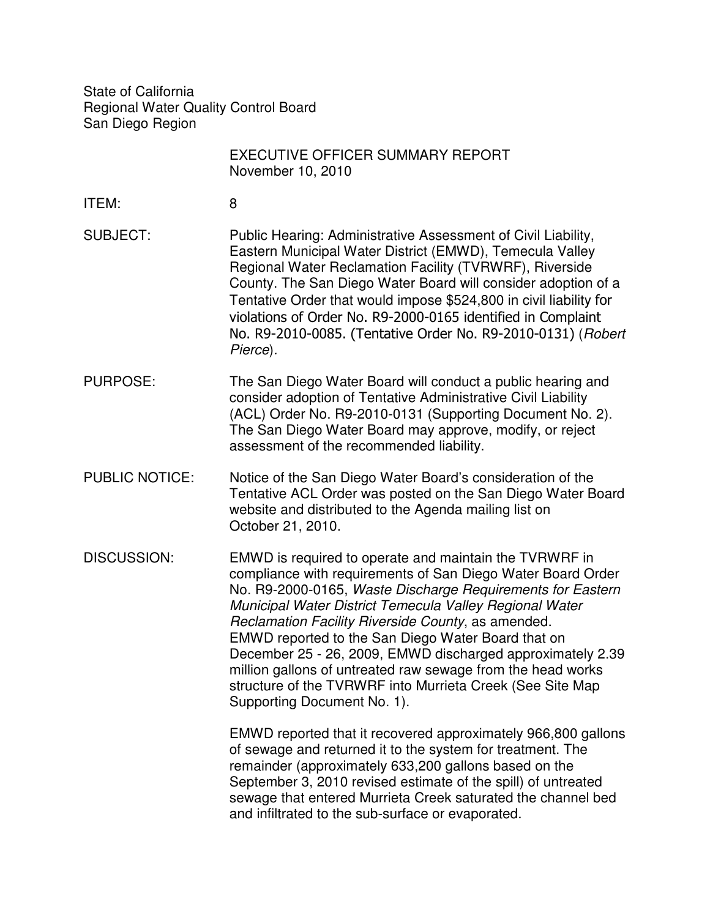State of California Regional Water Quality Control Board San Diego Region

|                       | <b>EXECUTIVE OFFICER SUMMARY REPORT</b><br>November 10, 2010                                                                                                                                                                                                                                                                                                                                                                                                                                                                                                                        |
|-----------------------|-------------------------------------------------------------------------------------------------------------------------------------------------------------------------------------------------------------------------------------------------------------------------------------------------------------------------------------------------------------------------------------------------------------------------------------------------------------------------------------------------------------------------------------------------------------------------------------|
| ITEM:                 | 8                                                                                                                                                                                                                                                                                                                                                                                                                                                                                                                                                                                   |
| <b>SUBJECT:</b>       | Public Hearing: Administrative Assessment of Civil Liability,<br>Eastern Municipal Water District (EMWD), Temecula Valley<br>Regional Water Reclamation Facility (TVRWRF), Riverside<br>County. The San Diego Water Board will consider adoption of a<br>Tentative Order that would impose \$524,800 in civil liability for<br>violations of Order No. R9-2000-0165 identified in Complaint<br>No. R9-2010-0085. (Tentative Order No. R9-2010-0131) (Robert<br>Pierce).                                                                                                             |
| <b>PURPOSE:</b>       | The San Diego Water Board will conduct a public hearing and<br>consider adoption of Tentative Administrative Civil Liability<br>(ACL) Order No. R9-2010-0131 (Supporting Document No. 2).<br>The San Diego Water Board may approve, modify, or reject<br>assessment of the recommended liability.                                                                                                                                                                                                                                                                                   |
| <b>PUBLIC NOTICE:</b> | Notice of the San Diego Water Board's consideration of the<br>Tentative ACL Order was posted on the San Diego Water Board<br>website and distributed to the Agenda mailing list on<br>October 21, 2010.                                                                                                                                                                                                                                                                                                                                                                             |
| DISCUSSION:           | EMWD is required to operate and maintain the TVRWRF in<br>compliance with requirements of San Diego Water Board Order<br>No. R9-2000-0165, Waste Discharge Requirements for Eastern<br>Municipal Water District Temecula Valley Regional Water<br>Reclamation Facility Riverside County, as amended.<br>EMWD reported to the San Diego Water Board that on<br>December 25 - 26, 2009, EMWD discharged approximately 2.39<br>million gallons of untreated raw sewage from the head works<br>structure of the TVRWRF into Murrieta Creek (See Site Map<br>Supporting Document No. 1). |
|                       | EMWD reported that it recovered approximately 966,800 gallons<br>of sewage and returned it to the system for treatment. The<br>remainder (approximately 633,200 gallons based on the<br>September 3, 2010 revised estimate of the spill) of untreated<br>sewage that entered Murrieta Creek saturated the channel bed<br>and infiltrated to the sub-surface or evaporated.                                                                                                                                                                                                          |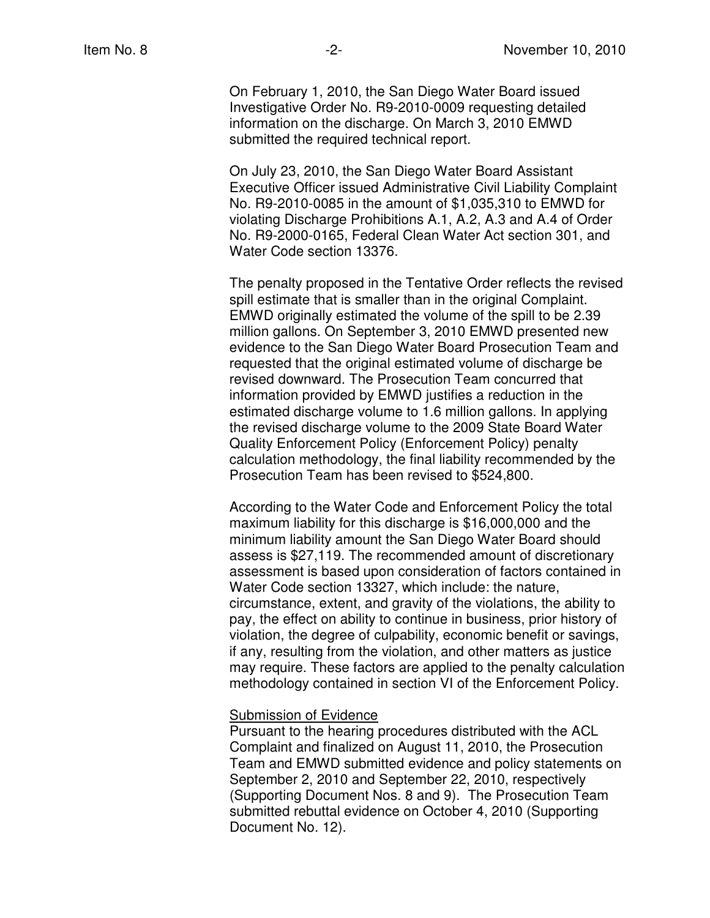On February 1, 2010, the San Diego Water Board issued Investigative Order No. R9-2010-0009 requesting detailed information on the discharge. On March 3, 2010 EMWD submitted the required technical report.

On July 23, 2010, the San Diego Water Board Assistant Executive Officer issued Administrative Civil Liability Complaint No. R9-2010-0085 in the amount of \$1,035,310 to EMWD for violating Discharge Prohibitions A.1, A.2, A.3 and A.4 of Order No. R9-2000-0165, Federal Clean Water Act section 301, and Water Code section 13376.

The penalty proposed in the Tentative Order reflects the revised spill estimate that is smaller than in the original Complaint. EMWD originally estimated the volume of the spill to be 2.39 million gallons. On September 3, 2010 EMWD presented new evidence to the San Diego Water Board Prosecution Team and requested that the original estimated volume of discharge be revised downward. The Prosecution Team concurred that information provided by EMWD justifies a reduction in the estimated discharge volume to 1.6 million gallons. In applying the revised discharge volume to the 2009 State Board Water Quality Enforcement Policy (Enforcement Policy) penalty calculation methodology, the final liability recommended by the Prosecution Team has been revised to \$524,800.

According to the Water Code and Enforcement Policy the total maximum liability for this discharge is \$16,000,000 and the minimum liability amount the San Diego Water Board should assess is \$27,119. The recommended amount of discretionary assessment is based upon consideration of factors contained in Water Code section 13327, which include: the nature, circumstance, extent, and gravity of the violations, the ability to pay, the effect on ability to continue in business, prior history of violation, the degree of culpability, economic benefit or savings, if any, resulting from the violation, and other matters as justice may require. These factors are applied to the penalty calculation methodology contained in section VI of the Enforcement Policy.

## Submission of Evidence

Pursuant to the hearing procedures distributed with the ACL Complaint and finalized on August 11, 2010, the Prosecution Team and EMWD submitted evidence and policy statements on September 2, 2010 and September 22, 2010, respectively (Supporting Document Nos. 8 and 9). The Prosecution Team submitted rebuttal evidence on October 4, 2010 (Supporting Document No. 12).